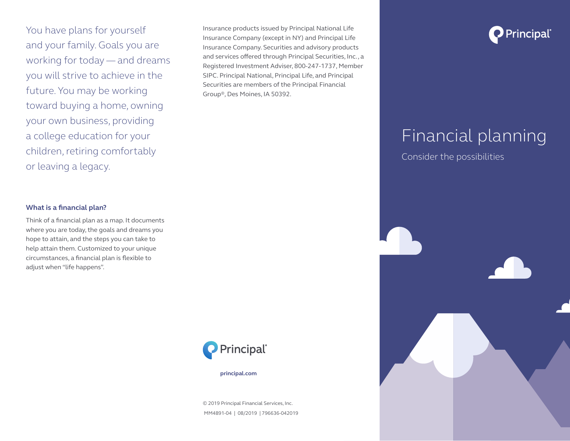You have plans for yourself and your family. Goals you are working for today — and dreams you will strive to achieve in the future. You may be working toward buying a home, owning your own business, providing a college education for your children, retiring comfortably or leaving a legacy.

Insurance products issued by Principal National Life Insurance Company (except in NY) and Principal Life Insurance Company. Securities and advisory products and services offered through Principal Securities, Inc., a Registered Investment Adviser, 800-247-1737, Member SIPC. Principal National, Principal Life, and Principal Securities are members of the Principal Financial Group®, Des Moines, IA 50392.



## Financial planning

Consider the possibilities

### **What is a financial plan?**

Think of a financial plan as a map. It documents where you are today, the goals and dreams you hope to attain, and the steps you can take to help attain them. Customized to your unique circumstances, a financial plan is flexible to adjust when "life happens".



 **principal.com**

© 2019 Principal Financial Services, Inc. MM4891-04 | 08/2019 | 796636-042019